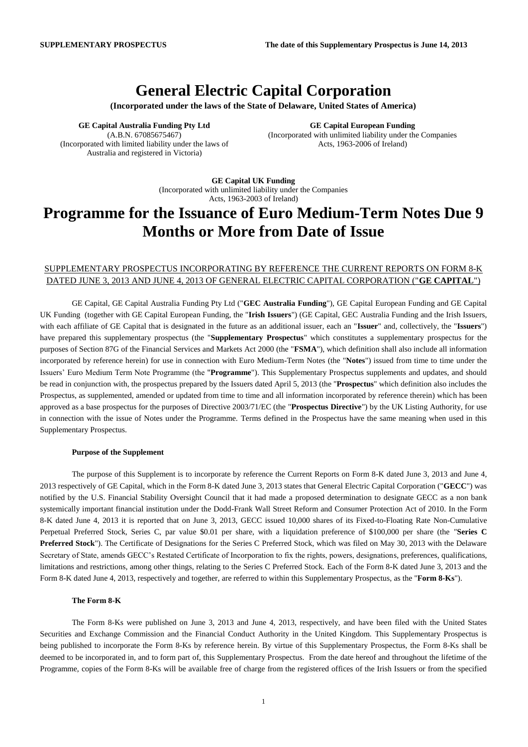## **General Electric Capital Corporation**

**(Incorporated under the laws of the State of Delaware, United States of America)**

**GE Capital Australia Funding Pty Ltd** (A.B.N. 67085675467) (Incorporated with limited liability under the laws of Australia and registered in Victoria)

**GE Capital European Funding** (Incorporated with unlimited liability under the Companies Acts, 1963-2006 of Ireland)

**GE Capital UK Funding** (Incorporated with unlimited liability under the Companies Acts, 1963-2003 of Ireland)

# **Programme for the Issuance of Euro Medium-Term Notes Due 9 Months or More from Date of Issue**

### SUPPLEMENTARY PROSPECTUS INCORPORATING BY REFERENCE THE CURRENT REPORTS ON FORM 8-K DATED JUNE 3, 2013 AND JUNE 4, 2013 OF GENERAL ELECTRIC CAPITAL CORPORATION ("**GE CAPITAL**")

GE Capital, GE Capital Australia Funding Pty Ltd ("**GEC Australia Funding**"), GE Capital European Funding and GE Capital UK Funding (together with GE Capital European Funding, the "**Irish Issuers**") (GE Capital, GEC Australia Funding and the Irish Issuers, with each affiliate of GE Capital that is designated in the future as an additional issuer, each an "**Issuer**" and, collectively, the "**Issuers**") have prepared this supplementary prospectus (the "**Supplementary Prospectus**" which constitutes a supplementary prospectus for the purposes of Section 87G of the Financial Services and Markets Act 2000 (the "**FSMA**"), which definition shall also include all information incorporated by reference herein) for use in connection with Euro Medium-Term Notes (the "**Notes**") issued from time to time under the Issuers' Euro Medium Term Note Programme (the "**Programme**"). This Supplementary Prospectus supplements and updates, and should be read in conjunction with, the prospectus prepared by the Issuers dated April 5, 2013 (the "**Prospectus**" which definition also includes the Prospectus, as supplemented, amended or updated from time to time and all information incorporated by reference therein) which has been approved as a base prospectus for the purposes of Directive 2003/71/EC (the "**Prospectus Directive**") by the UK Listing Authority, for use in connection with the issue of Notes under the Programme. Terms defined in the Prospectus have the same meaning when used in this Supplementary Prospectus.

#### **Purpose of the Supplement**

The purpose of this Supplement is to incorporate by reference the Current Reports on Form 8-K dated June 3, 2013 and June 4, 2013 respectively of GE Capital, which in the Form 8-K dated June 3, 2013 states that General Electric Capital Corporation ("**GECC**") was notified by the U.S. Financial Stability Oversight Council that it had made a proposed determination to designate GECC as a non bank systemically important financial institution under the Dodd-Frank Wall Street Reform and Consumer Protection Act of 2010. In the Form 8-K dated June 4, 2013 it is reported that on June 3, 2013, GECC issued 10,000 shares of its Fixed-to-Floating Rate Non-Cumulative Perpetual Preferred Stock, Series C, par value \$0.01 per share, with a liquidation preference of \$100,000 per share (the "**Series C Preferred Stock**"). The Certificate of Designations for the Series C Preferred Stock, which was filed on May 30, 2013 with the Delaware Secretary of State, amends GECC's Restated Certificate of Incorporation to fix the rights, powers, designations, preferences, qualifications, limitations and restrictions, among other things, relating to the Series C Preferred Stock. Each of the Form 8-K dated June 3, 2013 and the Form 8-K dated June 4, 2013, respectively and together, are referred to within this Supplementary Prospectus, as the "**Form 8-Ks**").

### **The Form 8-K**

The Form 8-Ks were published on June 3, 2013 and June 4, 2013, respectively, and have been filed with the United States Securities and Exchange Commission and the Financial Conduct Authority in the United Kingdom. This Supplementary Prospectus is being published to incorporate the Form 8-Ks by reference herein. By virtue of this Supplementary Prospectus, the Form 8-Ks shall be deemed to be incorporated in, and to form part of, this Supplementary Prospectus. From the date hereof and throughout the lifetime of the Programme, copies of the Form 8-Ks will be available free of charge from the registered offices of the Irish Issuers or from the specified